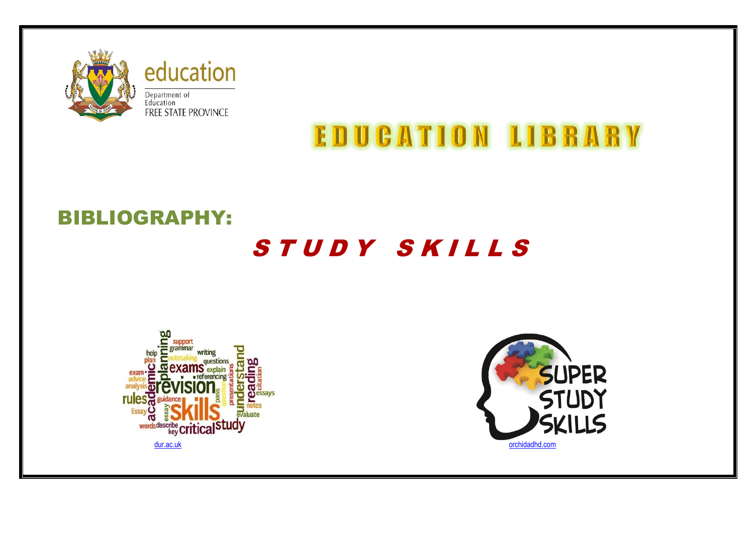

education Department of<br>Education<br>FREE STATE PROVINCE

# **EDUCATION LIBRARY**

## BIBLIOGRAPHY:

## STUDY SKILLS



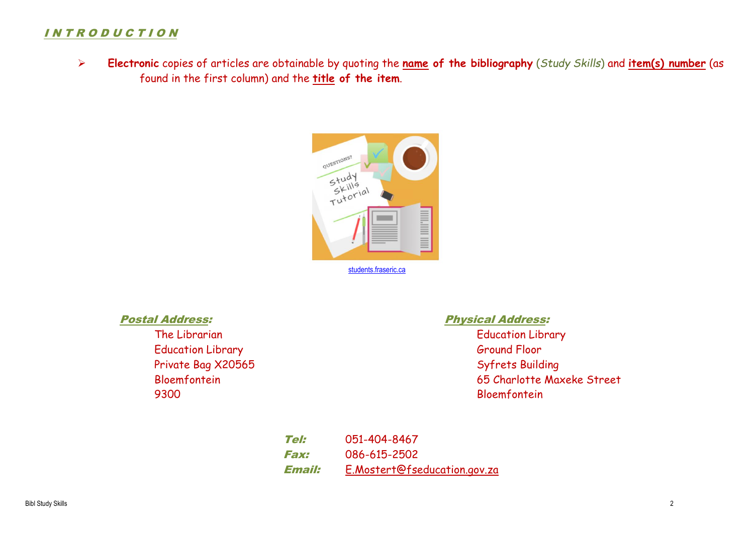### I N T R O D U C T I O N

 **Electronic** copies of articles are obtainable by quoting the **name of the bibliography** (*Study Skills*) and **item(s) number** (as found in the first column) and the **title of the item**.



Education Library **Execution Contract Contract Contract Contract Contract Contract Contract Contract Contract Contract Contract Contract Contract Contract Contract Contract Contract Contract Contract Contract Contract Cont** Private Bag X20565 Syfrets Building 9300 Bloemfontein

### Postal Address: Physical Address:

The Librarian The Library Contraction Library Contraction Library Bloemfontein 65 Charlotte Maxeke Street

> Tel: 051-404-8467 Fax: 086-615-2502 Email: [E.Mostert@fseducation.gov.za](mailto:E.Mostert@fseducation.gov.za)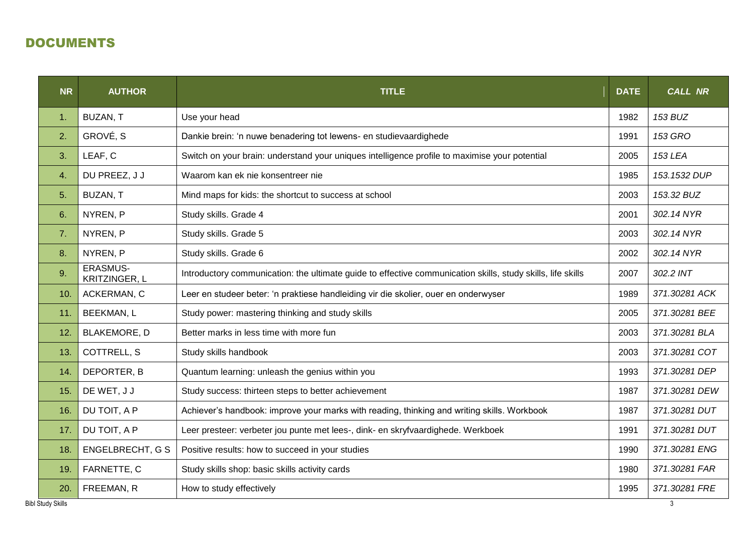## DOCUMENTS

| <b>NR</b> | <b>AUTHOR</b>                                                                                               | <b>TITLE</b>                                                                                  | <b>DATE</b>   | <b>CALL NR</b> |  |
|-----------|-------------------------------------------------------------------------------------------------------------|-----------------------------------------------------------------------------------------------|---------------|----------------|--|
| 1.        | BUZAN, T                                                                                                    | Use your head                                                                                 | 1982          | 153 BUZ        |  |
| 2.        | GROVÉ, S                                                                                                    | Dankie brein: 'n nuwe benadering tot lewens- en studievaardighede                             | 1991          | <b>153 GRO</b> |  |
| 3.        | LEAF, C                                                                                                     | Switch on your brain: understand your uniques intelligence profile to maximise your potential | 2005          | <b>153 LEA</b> |  |
| 4.        | DU PREEZ, J J                                                                                               | Waarom kan ek nie konsentreer nie                                                             | 1985          | 153.1532 DUP   |  |
| 5.        | BUZAN, T                                                                                                    | Mind maps for kids: the shortcut to success at school                                         | 2003          | 153.32 BUZ     |  |
| 6.        | NYREN, P                                                                                                    | Study skills. Grade 4                                                                         | 2001          | 302.14 NYR     |  |
| 7.        | NYREN, P                                                                                                    | Study skills. Grade 5                                                                         | 2003          | 302.14 NYR     |  |
| 8.        | NYREN, P                                                                                                    | 2002                                                                                          | 302.14 NYR    |                |  |
| 9.        | <b>ERASMUS-</b><br><b>KRITZINGER, L</b>                                                                     | 2007                                                                                          | 302.2 INT     |                |  |
| 10.       | ACKERMAN, C                                                                                                 | Leer en studeer beter: 'n praktiese handleiding vir die skolier, ouer en onderwyser           |               |                |  |
| 11.       | <b>BEEKMAN, L</b>                                                                                           | Study power: mastering thinking and study skills                                              |               |                |  |
| 12.       | <b>BLAKEMORE, D</b>                                                                                         | Better marks in less time with more fun                                                       |               |                |  |
| 13.       | <b>COTTRELL, S</b><br>Study skills handbook                                                                 |                                                                                               |               | 371.30281 COT  |  |
| 14.       | DEPORTER, B<br>Quantum learning: unleash the genius within you                                              |                                                                                               | 1993          | 371.30281 DEP  |  |
| 15.       | DE WET, J J<br>Study success: thirteen steps to better achievement                                          |                                                                                               | 1987          | 371.30281 DEW  |  |
| 16.       | DU TOIT, A P<br>Achiever's handbook: improve your marks with reading, thinking and writing skills. Workbook |                                                                                               | 1987          | 371.30281 DUT  |  |
| 17.       | DU TOIT, A P<br>Leer presteer: verbeter jou punte met lees-, dink- en skryfvaardighede. Werkboek            |                                                                                               |               | 371.30281 DUT  |  |
| 18.       | <b>ENGELBRECHT, G S</b>                                                                                     | 1990                                                                                          | 371.30281 ENG |                |  |
| 19.       | FARNETTE, C                                                                                                 | Study skills shop: basic skills activity cards                                                | 1980          | 371.30281 FAR  |  |
| 20.       | FREEMAN, R                                                                                                  | How to study effectively                                                                      | 1995          | 371.30281 FRE  |  |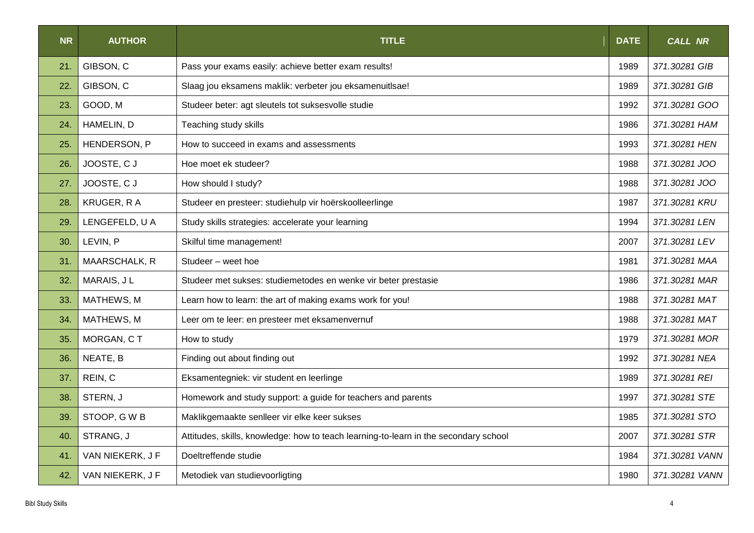| <b>NR</b> | <b>AUTHOR</b>    | <b>TITLE</b>                                                                         | <b>DATE</b> | <b>CALL NR</b> |  |
|-----------|------------------|--------------------------------------------------------------------------------------|-------------|----------------|--|
| 21.       | GIBSON, C        | Pass your exams easily: achieve better exam results!                                 | 1989        | 371.30281 GIB  |  |
| 22.       | GIBSON, C        | Slaag jou eksamens maklik: verbeter jou eksamenuitlsae!                              | 1989        | 371.30281 GIB  |  |
| 23.       | GOOD, M          | Studeer beter: agt sleutels tot suksesvolle studie                                   | 1992        | 371.30281 GOO  |  |
| 24.       | HAMELIN, D       | Teaching study skills                                                                | 1986        | 371.30281 HAM  |  |
| 25.       | HENDERSON, P     | How to succeed in exams and assessments                                              | 1993        | 371.30281 HEN  |  |
| 26.       | JOOSTE, CJ       | Hoe moet ek studeer?                                                                 | 1988        | 371.30281 JOO  |  |
| 27.       | JOOSTE, CJ       | How should I study?                                                                  | 1988        | 371.30281 JOO  |  |
| 28.       | KRUGER, R A      | Studeer en presteer: studiehulp vir hoërskoolleerlinge                               | 1987        | 371.30281 KRU  |  |
| 29.       | LENGEFELD, U A   | Study skills strategies: accelerate your learning                                    |             |                |  |
| 30.       | LEVIN, P         | Skilful time management!                                                             |             |                |  |
| 31.       | MAARSCHALK, R    | Studeer - weet hoe                                                                   | 1981        | 371.30281 MAA  |  |
| 32.       | MARAIS, JL       | Studeer met sukses: studiemetodes en wenke vir beter prestasie                       | 1986        | 371.30281 MAR  |  |
| 33.       | MATHEWS, M       | Learn how to learn: the art of making exams work for you!                            | 1988        | 371.30281 MAT  |  |
| 34.       | MATHEWS, M       | Leer om te leer: en presteer met eksamenvernuf                                       | 1988        | 371.30281 MAT  |  |
| 35.       | MORGAN, CT       | How to study                                                                         | 1979        | 371.30281 MOR  |  |
| 36.       | NEATE, B         | Finding out about finding out                                                        | 1992        | 371.30281 NEA  |  |
| 37.       | REIN, C          | Eksamentegniek: vir student en leerlinge                                             | 1989        | 371.30281 REI  |  |
| 38.       | STERN, J         | Homework and study support: a guide for teachers and parents                         | 1997        | 371.30281 STE  |  |
| 39.       | STOOP, GWB       | Maklikgemaakte senlleer vir elke keer sukses                                         | 1985        | 371.30281 STO  |  |
| 40.       | STRANG, J        | Attitudes, skills, knowledge: how to teach learning-to-learn in the secondary school | 2007        | 371.30281 STR  |  |
| 41.       | VAN NIEKERK, J F | Doeltreffende studie                                                                 | 1984        | 371.30281 VANN |  |
| 42.       | VAN NIEKERK, J F | Metodiek van studievoorligting                                                       | 1980        | 371.30281 VANN |  |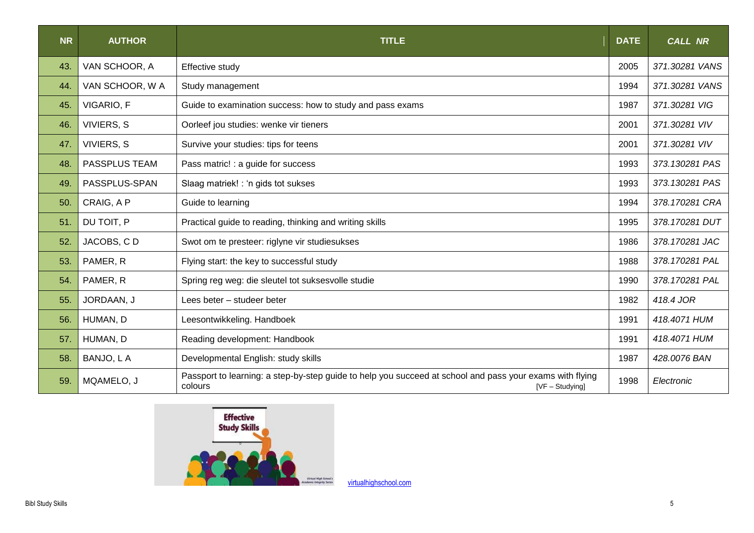| <b>NR</b> | <b>AUTHOR</b>   | <b>TITLE</b>                                                                                                                         | <b>DATE</b> | <b>CALL NR</b> |
|-----------|-----------------|--------------------------------------------------------------------------------------------------------------------------------------|-------------|----------------|
| 43.       | VAN SCHOOR, A   | Effective study                                                                                                                      | 2005        | 371.30281 VANS |
| 44.       | VAN SCHOOR, W A | Study management                                                                                                                     | 1994        | 371.30281 VANS |
| 45.       | VIGARIO, F      | Guide to examination success: how to study and pass exams                                                                            | 1987        | 371.30281 VIG  |
| 46.       | VIVIERS, S      | Oorleef jou studies: wenke vir tieners                                                                                               | 2001        | 371.30281 VIV  |
| 47.       | VIVIERS, S      | Survive your studies: tips for teens                                                                                                 | 2001        | 371.30281 VIV  |
| 48.       | PASSPLUS TEAM   | Pass matric! : a guide for success                                                                                                   | 1993        | 373.130281 PAS |
| 49.       | PASSPLUS-SPAN   | Slaag matriek! : 'n gids tot sukses<br>1993                                                                                          |             | 373.130281 PAS |
| 50.       | CRAIG, A P      | Guide to learning                                                                                                                    |             | 378.170281 CRA |
| 51.       | DU TOIT, P      | Practical guide to reading, thinking and writing skills                                                                              |             | 378.170281 DUT |
| 52.       | JACOBS, CD      | Swot om te presteer: riglyne vir studiesukses                                                                                        |             | 378.170281 JAC |
| 53.       | PAMER, R        | Flying start: the key to successful study                                                                                            |             | 378.170281 PAL |
| 54.       | PAMER, R        | Spring reg weg: die sleutel tot suksesvolle studie                                                                                   | 1990        | 378.170281 PAL |
| 55.       | JORDAAN, J      | Lees beter - studeer beter                                                                                                           | 1982        | 418.4 JOR      |
| 56.       | HUMAN, D        | Leesontwikkeling. Handboek                                                                                                           | 1991        | 418.4071 HUM   |
| 57.       | HUMAN, D        | Reading development: Handbook                                                                                                        | 1991        | 418.4071 HUM   |
| 58.       | BANJO, L A      | Developmental English: study skills                                                                                                  | 1987        | 428.0076 BAN   |
| 59.       | MQAMELO, J      | Passport to learning: a step-by-step guide to help you succeed at school and pass your exams with flying<br>colours<br>[VF-Studying] | 1998        | Electronic     |



[virtualhighschool.com](http://www.virtualhighschool.com/)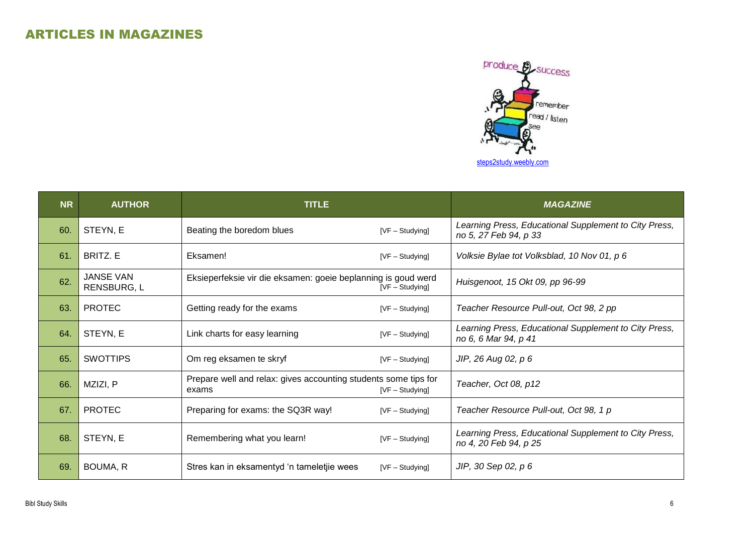

| <b>NR</b> | <b>AUTHOR</b>                   | <b>TITLE</b>                                                             |                   | <b>MAGAZINE</b>                                                                |
|-----------|---------------------------------|--------------------------------------------------------------------------|-------------------|--------------------------------------------------------------------------------|
| 60.       | STEYN, E                        | Beating the boredom blues                                                | [VF - Studying]   | Learning Press, Educational Supplement to City Press,<br>no 5, 27 Feb 94, p 33 |
| 61.       | BRITZ. E                        | Eksamen!                                                                 | $[VF - Studying]$ | Volksie Bylae tot Volksblad, 10 Nov 01, p 6                                    |
| 62.       | <b>JANSE VAN</b><br>RENSBURG, L | Eksieperfeksie vir die eksamen: goeie beplanning is goud werd            | $[VF - Studying]$ | Huisgenoot, 15 Okt 09, pp 96-99                                                |
| 63.       | <b>PROTEC</b>                   | Getting ready for the exams                                              | [VF - Studying]   | Teacher Resource Pull-out, Oct 98, 2 pp                                        |
| 64.       | STEYN, E                        | Link charts for easy learning                                            | $[VF - Studying]$ | Learning Press, Educational Supplement to City Press,<br>no 6, 6 Mar 94, p 41  |
| 65.       | <b>SWOTTIPS</b>                 | Om reg eksamen te skryf                                                  | $[VF - Studying]$ | JIP, 26 Aug 02, p 6                                                            |
| 66.       | MZIZI, P                        | Prepare well and relax: gives accounting students some tips for<br>exams | $[VF - Studying]$ | Teacher, Oct 08, p12                                                           |
| 67.       | <b>PROTEC</b>                   | Preparing for exams: the SQ3R way!                                       | [VF - Studying]   | Teacher Resource Pull-out, Oct 98, 1 p                                         |
| 68.       | STEYN, E                        | Remembering what you learn!                                              | [VF - Studying]   | Learning Press, Educational Supplement to City Press,<br>no 4, 20 Feb 94, p 25 |
| 69.       | BOUMA, R                        | Stres kan in eksamentyd 'n tameletjie wees                               | [VF - Studying]   | JIP, 30 Sep 02, p 6                                                            |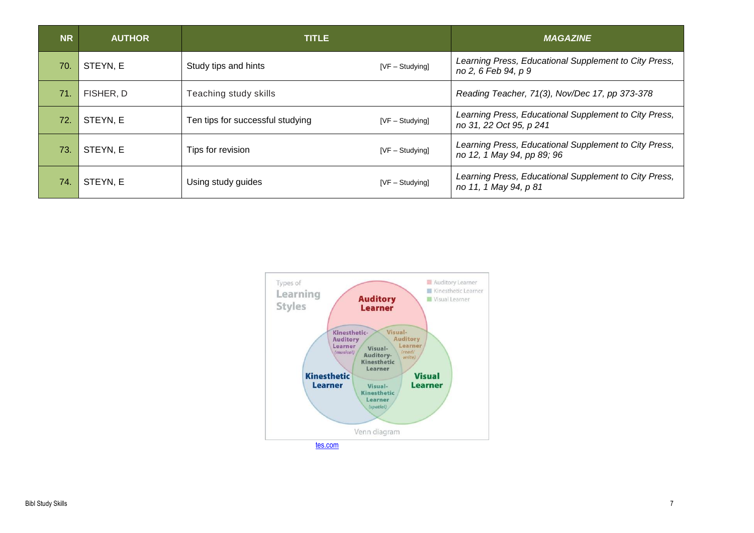| <b>NR</b> | <b>AUTHOR</b> | <b>TITLE</b>                     |                   | <b>MAGAZINE</b>                                                                     |
|-----------|---------------|----------------------------------|-------------------|-------------------------------------------------------------------------------------|
| 70.       | STEYN, E      | Study tips and hints             | [VF-Studying]     | Learning Press, Educational Supplement to City Press,<br>no 2, 6 Feb 94, p 9        |
| 71.       | FISHER, D     | Teaching study skills            |                   | Reading Teacher, 71(3), Nov/Dec 17, pp 373-378                                      |
| 72.       | STEYN, E      | Ten tips for successful studying | $[VF - Studying]$ | Learning Press, Educational Supplement to City Press,<br>no 31, 22 Oct 95, p 241    |
| 73.       | STEYN, E      | Tips for revision                | $[VF - Studying]$ | Learning Press, Educational Supplement to City Press,<br>no 12, 1 May 94, pp 89; 96 |
| 74.       | STEYN, E      | Using study guides               | $[VF - Studying]$ | Learning Press, Educational Supplement to City Press,<br>no 11, 1 May 94, p 81      |

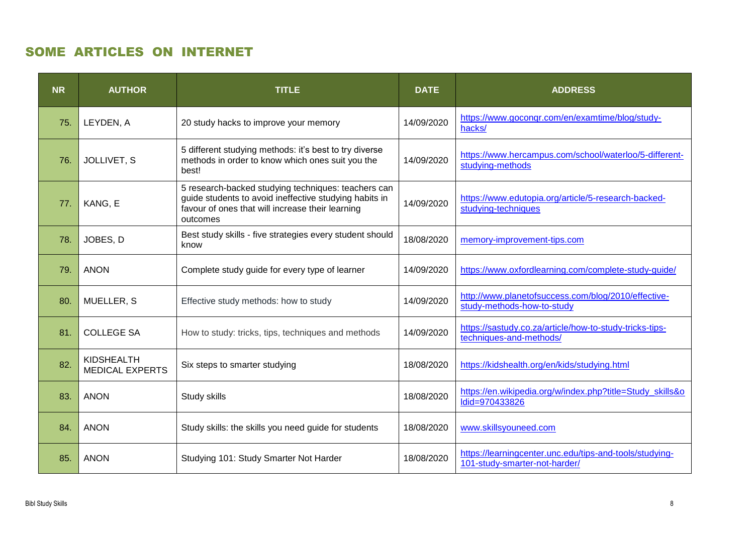## SOME ARTICLES ON INTERNET

| <b>NR</b> | <b>AUTHOR</b>                        | <b>TITLE</b>                                                                                                                                                                  | <b>DATE</b> | <b>ADDRESS</b>                                                                           |
|-----------|--------------------------------------|-------------------------------------------------------------------------------------------------------------------------------------------------------------------------------|-------------|------------------------------------------------------------------------------------------|
| 75.       | LEYDEN, A                            | 20 study hacks to improve your memory                                                                                                                                         | 14/09/2020  | https://www.goconqr.com/en/examtime/blog/study-<br>hacks/                                |
| 76.       | JOLLIVET, S                          | 5 different studying methods: it's best to try diverse<br>methods in order to know which ones suit you the<br>best!                                                           | 14/09/2020  | https://www.hercampus.com/school/waterloo/5-different-<br>studying-methods               |
| 77.       | KANG, E                              | 5 research-backed studying techniques: teachers can<br>guide students to avoid ineffective studying habits in<br>favour of ones that will increase their learning<br>outcomes | 14/09/2020  | https://www.edutopia.org/article/5-research-backed-<br>studying-techniques               |
| 78.       | JOBES, D                             | Best study skills - five strategies every student should<br>know                                                                                                              | 18/08/2020  | memory-improvement-tips.com                                                              |
| 79.       | <b>ANON</b>                          | Complete study guide for every type of learner                                                                                                                                | 14/09/2020  | https://www.oxfordlearning.com/complete-study-guide/                                     |
| 80.       | MUELLER, S                           | Effective study methods: how to study                                                                                                                                         | 14/09/2020  | http://www.planetofsuccess.com/blog/2010/effective-<br>study-methods-how-to-study        |
| 81.       | <b>COLLEGE SA</b>                    | How to study: tricks, tips, techniques and methods                                                                                                                            | 14/09/2020  | https://sastudy.co.za/article/how-to-study-tricks-tips-<br>techniques-and-methods/       |
| 82.       | KIDSHEALTH<br><b>MEDICAL EXPERTS</b> | Six steps to smarter studying                                                                                                                                                 | 18/08/2020  | https://kidshealth.org/en/kids/studying.html                                             |
| 83.       | <b>ANON</b>                          | Study skills                                                                                                                                                                  | 18/08/2020  | https://en.wikipedia.org/w/index.php?title=Study_skills&o<br>Idid=970433826              |
| 84.       | <b>ANON</b>                          | Study skills: the skills you need guide for students                                                                                                                          | 18/08/2020  | www.skillsyouneed.com                                                                    |
| 85.       | <b>ANON</b>                          | Studying 101: Study Smarter Not Harder                                                                                                                                        | 18/08/2020  | https://learningcenter.unc.edu/tips-and-tools/studying-<br>101-study-smarter-not-harder/ |